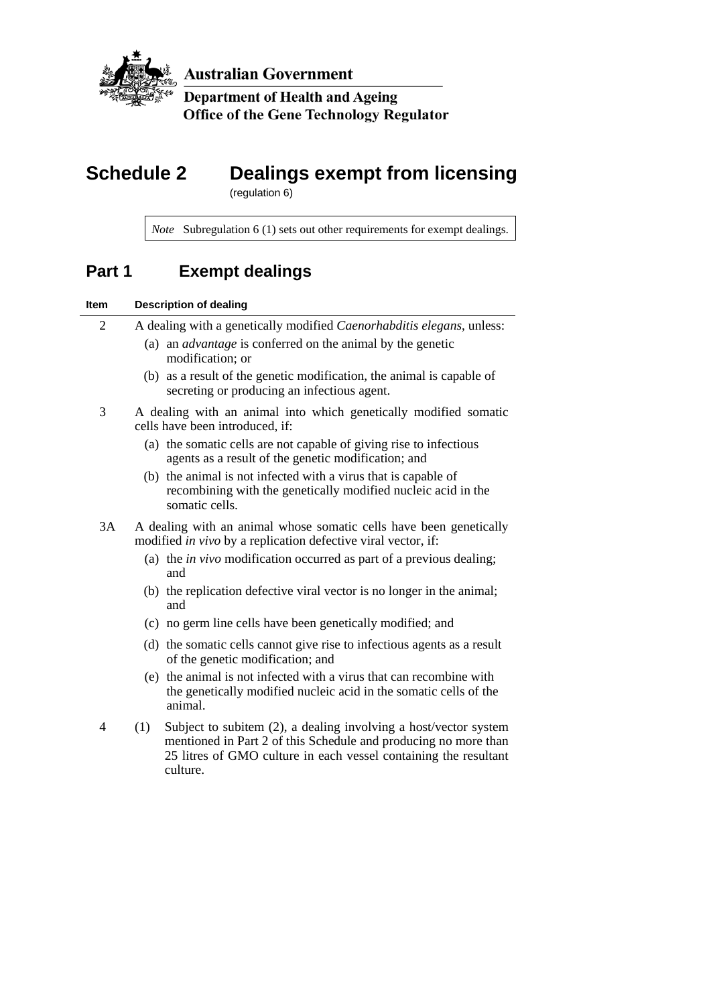

**Australian Government** 

**Department of Health and Ageing Office of the Gene Technology Regulator** 

# **Schedule 2 Dealings exempt from licensing**

(regulation 6)

*Note* Subregulation 6 (1) sets out other requirements for exempt dealings.

## **Part 1 Exempt dealings**

### **Item Description of dealing**

| $\overline{c}$ | A dealing with a genetically modified <i>Caenorhabditis elegans</i> , unless:<br>(a) an <i>advantage</i> is conferred on the animal by the genetic<br>modification; or |
|----------------|------------------------------------------------------------------------------------------------------------------------------------------------------------------------|
|                | (b) as a result of the genetic modification, the animal is capable of<br>secreting or producing an infectious agent.                                                   |
| 3              | A dealing with an animal into which genetically modified somatic<br>cells have been introduced, if:                                                                    |
|                | (a) the somatic cells are not capable of giving rise to infectious<br>agents as a result of the genetic modification; and                                              |
|                | (b) the animal is not infected with a virus that is capable of<br>recombining with the genetically modified nucleic acid in the<br>somatic cells.                      |
| 3A             | A dealing with an animal whose somatic cells have been genetically<br>modified <i>in vivo</i> by a replication defective viral vector, if:                             |
|                | (a) the <i>in vivo</i> modification occurred as part of a previous dealing;<br>and                                                                                     |

- (b) the replication defective viral vector is no longer in the animal; and
- (c) no germ line cells have been genetically modified; and
- (d) the somatic cells cannot give rise to infectious agents as a result of the genetic modification; and
- (e) the animal is not infected with a virus that can recombine with the genetically modified nucleic acid in the somatic cells of the animal.
- 4 (1) Subject to subitem (2), a dealing involving a host/vector system mentioned in Part 2 of this Schedule and producing no more than 25 litres of GMO culture in each vessel containing the resultant culture.